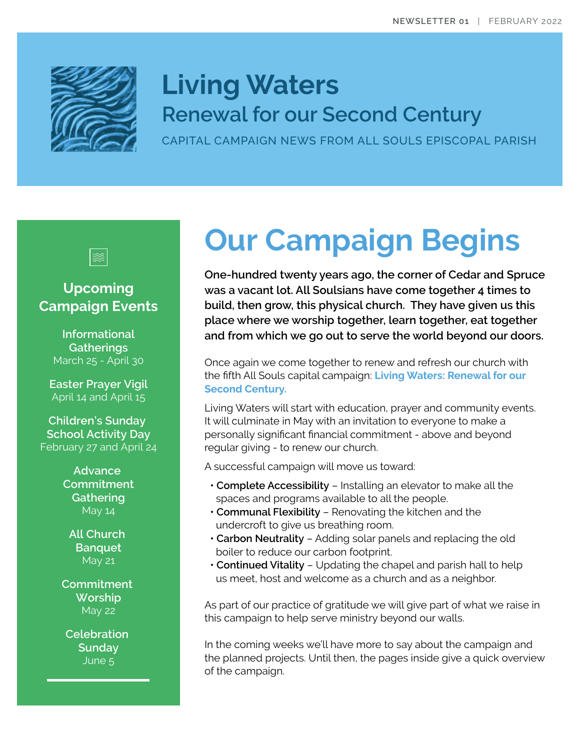

## **Living Waters Renewal for our Second Century**

CAPITAL CAMPAIGN NEWS FROM ALL SOULS EPISCOPAL PARISH



### **Upcoming Campaign Events**

**Informational Gatherings** March 25 - April 30

**Easter Prayer Vigil** April 14 and April 15

**Children's Sunday School Activity Day** February 27 and April 24

> **Advance Commitment Gathering** May 14

**All Church Banquet** May 21

**Commitment Worship** May 22

**Celebration Sunday** June 5

# **Our Campaign Begins**

**One-hundred twenty years ago, the corner of Cedar and Spruce was a vacant lot. All Soulsians have come together 4 times to build, then grow, this physical church. They have given us this place where we worship together, learn together, eat together and from which we go out to serve the world beyond our doors.**

Once again we come together to renew and refresh our church with the fifth All Souls capital campaign: **Living Waters: Renewal for our Second Century.**

Living Waters will start with education, prayer and community events. It will culminate in May with an invitation to everyone to make a personally significant financial commitment - above and beyond regular giving - to renew our church.

A successful campaign will move us toward:

- **Complete Accessibility** Installing an elevator to make all the spaces and programs available to all the people.
- **Communal Flexibility** Renovating the kitchen and the undercroft to give us breathing room.
- **Carbon Neutrality** Adding solar panels and replacing the old boiler to reduce our carbon footprint.
- **Continued Vitality** Updating the chapel and parish hall to help us meet, host and welcome as a church and as a neighbor.

As part of our practice of gratitude we will give part of what we raise in this campaign to help serve ministry beyond our walls.

In the coming weeks we'll have more to say about the campaign and the planned projects. Until then, the pages inside give a quick overview of the campaign.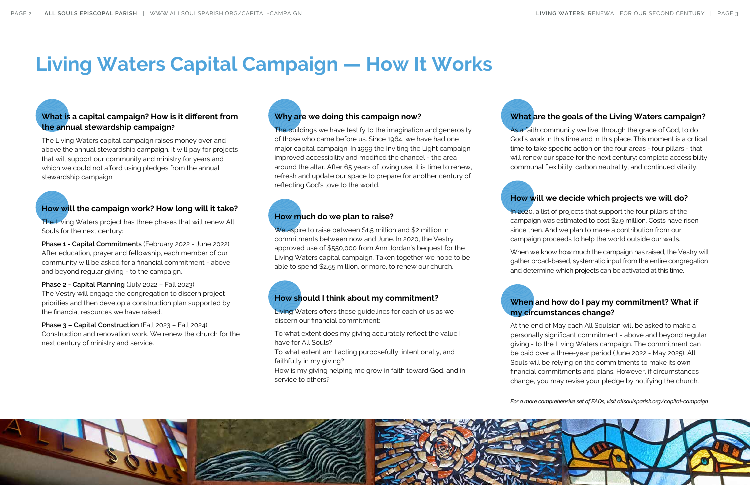### **What is a capital campaign? How is it different from the annual stewardship campaign?**

The Living Waters capital campaign raises money over and above the annual stewardship campaign. It will pay for projects that will support our community and ministry for years and which we could not afford using pledges from the annual stewardship campaign.

The buildings we have testify to the imagination and generosity of those who came before us. Since 1964, we have had one major capital campaign. In 1999 the Inviting the Light campaign improved accessibility and modified the chancel - the area around the altar. After 65 years of loving use, it is time to renew, refresh and update our space to prepare for another century of reflecting God's love to the world.

### **Why are we doing this campaign now?**

Living Waters offers these guidelines for each of us as we discern our financial commitment:

### **How should I think about my commitment?**

To what extent does my giving accurately reflect the value I have for All Souls?

As a faith community we live, through the grace of God, to do God's work in this time and in this place. This moment is a critical time to take specific action on the four areas - four pillars - that will renew our space for the next century: complete accessibility, communal flexibility, carbon neutrality, and continued vitality.

To what extent am I acting purposefully, intentionally, and faithfully in my giving?

The Living Waters project has three phases that will renew All Souls for the next century:

> How is my giving helping me grow in faith toward God, and in service to others?

## **When and how do I pay my commitment? What if my circumstances change?**

At the end of May each All Soulsian will be asked to make a personally significant commitment - above and beyond regular giving - to the Living Waters campaign. The commitment can be paid over a three-year period (June 2022 - May 2025). All Souls will be relying on the commitments to make its own financial commitments and plans. However, if circumstances change, you may revise your pledge by notifying the church.

We aspire to raise between \$1.5 million and \$2 million in commitments between now and June. In 2020, the Vestry approved use of \$550,000 from Ann Jordan's bequest for the Living Waters capital campaign. Taken together we hope to be able to spend \$2.55 million, or more, to renew our church.

*For a more comprehensive set of FAQs, visit allsoulsparish.org/capital-campaign*



### **What are the goals of the Living Waters campaign?**

### **How will the campaign work? How long will it take?**

**Phase 1 - Capital Commitments** (February 2022 - June 2022) After education, prayer and fellowship, each member of our community will be asked for a financial commitment - above and beyond regular giving - to the campaign.

**Phase 2 - Capital Planning** (July 2022 – Fall 2023) The Vestry will engage the congregation to discern project priorities and then develop a construction plan supported by the financial resources we have raised.

**Phase 3 – Capital Construction** (Fall 2023 – Fall 2024) Construction and renovation work. We renew the church for the next century of ministry and service.

### **How much do we plan to raise?**

### **How will we decide which projects we will do?**

In 2020, a list of projects that support the four pillars of the campaign was estimated to cost \$2.9 million. Costs have risen since then. And we plan to make a contribution from our campaign proceeds to help the world outside our walls.

When we know how much the campaign has raised, the Vestry will gather broad-based, systematic input from the entire congregation and determine which projects can be activated at this time.

# **Living Waters Capital Campaign — How It Works**